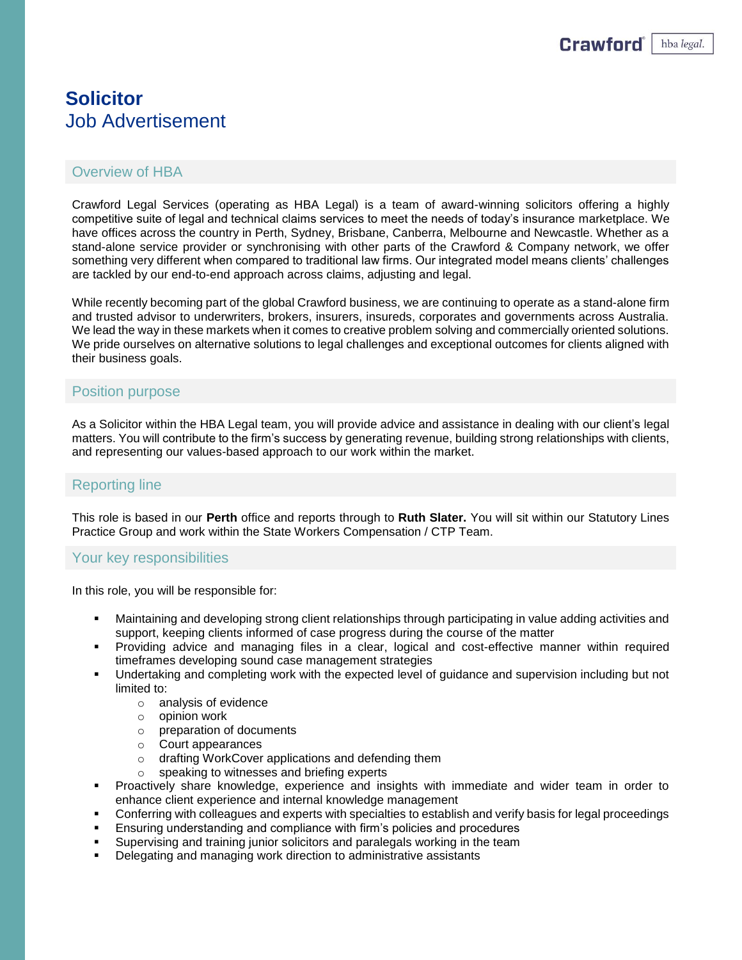# **Solicitor** Job Advertisement

## Overview of HBA

Crawford Legal Services (operating as HBA Legal) is a team of award-winning solicitors offering a highly competitive suite of legal and technical claims services to meet the needs of today's insurance marketplace. We have offices across the country in Perth, Sydney, Brisbane, Canberra, Melbourne and Newcastle. Whether as a stand-alone service provider or synchronising with other parts of the Crawford & Company network, we offer something very different when compared to traditional law firms. Our integrated model means clients' challenges are tackled by our end-to-end approach across claims, adjusting and legal.

While recently becoming part of the global Crawford business, we are continuing to operate as a stand-alone firm and trusted advisor to underwriters, brokers, insurers, insureds, corporates and governments across Australia. We lead the way in these markets when it comes to creative problem solving and commercially oriented solutions. We pride ourselves on alternative solutions to legal challenges and exceptional outcomes for clients aligned with their business goals.

### Position purpose

As a Solicitor within the HBA Legal team, you will provide advice and assistance in dealing with our client's legal matters. You will contribute to the firm's success by generating revenue, building strong relationships with clients, and representing our values-based approach to our work within the market.

## Reporting line

This role is based in our **Perth** office and reports through to **Ruth Slater.** You will sit within our Statutory Lines Practice Group and work within the State Workers Compensation / CTP Team.

#### Your key responsibilities

In this role, you will be responsible for:

- Maintaining and developing strong client relationships through participating in value adding activities and support, keeping clients informed of case progress during the course of the matter
- Providing advice and managing files in a clear, logical and cost-effective manner within required timeframes developing sound case management strategies
- **■** Undertaking and completing work with the expected level of guidance and supervision including but not limited to:
	- o analysis of evidence
	- o opinion work
	- o preparation of documents
	- o Court appearances
	- o drafting WorkCover applications and defending them
	- o speaking to witnesses and briefing experts
- Proactively share knowledge, experience and insights with immediate and wider team in order to enhance client experience and internal knowledge management
- Conferring with colleagues and experts with specialties to establish and verify basis for legal proceedings
- Ensuring understanding and compliance with firm's policies and procedures
- Supervising and training junior solicitors and paralegals working in the team
- Delegating and managing work direction to administrative assistants